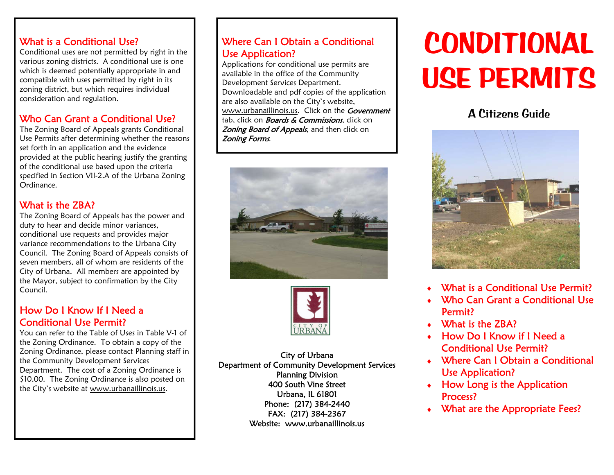#### What is a Conditional Use?

Conditional uses are not permitted by right in the various zoning districts. A conditional use is one which is deemed potentially appropriate in and compatible with uses permitted by right in its zoning district, but which requires individual consideration and regulation.

## Who Can Grant a Conditional Use?

The Zoning Board of Appeals grants Conditional Use Permits after determining whether the reasons set forth in an application and the evidence provided at the public hearing justify the granting of the conditional use based upon the criteria specified in Section VII-2.A of the Urbana Zoning Ordinance.

## What is the **ZBA?**

The Zoning Board of Appeals has the power and duty to hear and decide minor variances, conditional use requests and provides major variance recommendations to the Urbana City Council. The Zoning Board of Appeals consists of seven members, all of whom are residents of the City of Urbana. All members are appointed by the Mayor, subject to confirmation by the City Council.

#### How Do I Know If I Need a Conditional Use Permit?

You can refer to the Table of Uses in Table V-1 of the Zoning Ordinance. To obtain a copy of the Zoning Ordinance, please contact Planning staff in the Community Development Services Department. The cost of a Zoning Ordinance is \$10.00. The Zoning Ordinance is also posted on the City's website at www.urbanaillinois.us.

### Where Can I Obtain a Conditional Use Application?

Applications for conditional use permits are available in the office of the Community Development Services Department. Downloadable and pdf copies of the application are also available on the City's website, www.urbanaillinois.us. Click on the **Government** tab, click on **Boards & Commissions**, click on Zoning Board of Appeals, and then click on Zoning Forms.





City of Urbana Department of Community Development Services Planning Division 400 South Vine Street Urbana, IL 61801 Phone: (217) 384-2440 FAX: (217) 384-2367 Website: www.urbanaillinois.us

# **CONDITIONAL USE PERMITS**

# A Citizens Guide



- ٠ What is a Conditional Use Permit?
- ٠ Who Can Grant a Conditional Use Permit?
- What is the ZBA?
- How Do I Know if I Need a Conditional Use Permit?
- Where Can I Obtain a Conditional Use Application?
- $\bullet$  How Long is the Application Process?
- What are the Appropriate Fees?